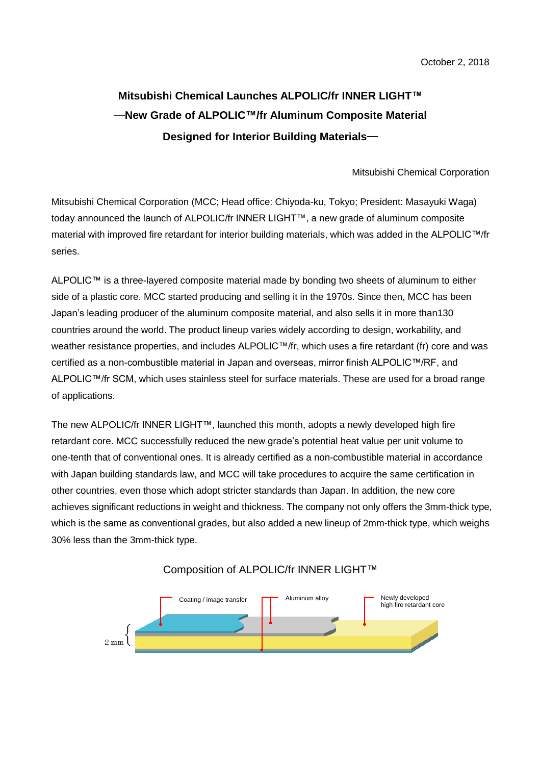## **Mitsubishi Chemical Launches ALPOLIC/fr INNER LIGHT™** ―**New Grade of ALPOLIC™/fr Aluminum Composite Material Designed for Interior Building Materials**―

## Mitsubishi Chemical Corporation

Mitsubishi Chemical Corporation (MCC; Head office: Chiyoda-ku, Tokyo; President: Masayuki Waga) today announced the launch of ALPOLIC/fr INNER LIGHT™, a new grade of aluminum composite material with improved fire retardant for interior building materials, which was added in the ALPOLIC™/fr series.

ALPOLIC™ is a three-layered composite material made by bonding two sheets of aluminum to either side of a plastic core. MCC started producing and selling it in the 1970s. Since then, MCC has been Japan's leading producer of the aluminum composite material, and also sells it in more than130 countries around the world. The product lineup varies widely according to design, workability, and weather resistance properties, and includes ALPOLIC™/fr, which uses a fire retardant (fr) core and was certified as a non-combustible material in Japan and overseas, mirror finish ALPOLIC™/RF, and ALPOLIC™/fr SCM, which uses stainless steel for surface materials. These are used for a broad range of applications.

The new ALPOLIC/fr INNER LIGHT™, launched this month, adopts a newly developed high fire retardant core. MCC successfully reduced the new grade's potential heat value per unit volume to one-tenth that of conventional ones. It is already certified as a non-combustible material in accordance with Japan building standards law, and MCC will take procedures to acquire the same certification in other countries, even those which adopt stricter standards than Japan. In addition, the new core achieves significant reductions in weight and thickness. The company not only offers the 3mm-thick type, which is the same as conventional grades, but also added a new lineup of 2mm-thick type, which weighs 30% less than the 3mm-thick type.



Composition of ALPOLIC/fr INNER LIGHT™